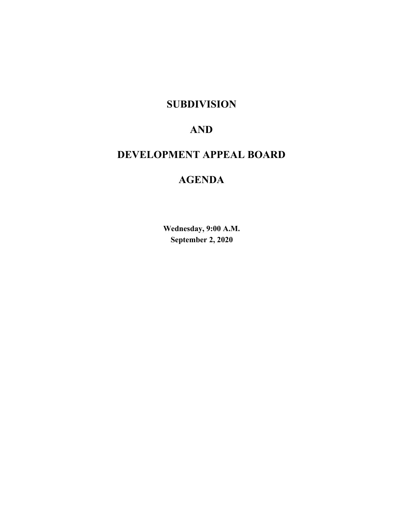# **SUBDIVISION**

# **AND**

# **DEVELOPMENT APPEAL BOARD**

# **AGENDA**

**Wednesday, 9:00 A.M. September 2, 2020**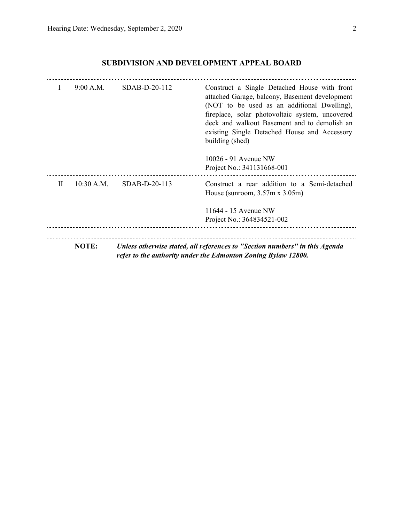| $\mathbf{I}$ | 9:00 A.M.    | SDAB-D-20-112 | Construct a Single Detached House with front<br>attached Garage, balcony, Basement development<br>(NOT to be used as an additional Dwelling),<br>fireplace, solar photovoltaic system, uncovered<br>deck and walkout Basement and to demolish an<br>existing Single Detached House and Accessory<br>building (shed) |
|--------------|--------------|---------------|---------------------------------------------------------------------------------------------------------------------------------------------------------------------------------------------------------------------------------------------------------------------------------------------------------------------|
|              |              |               | 10026 - 91 Avenue NW<br>Project No.: 341131668-001                                                                                                                                                                                                                                                                  |
| $\mathbf{H}$ | $10:30$ A.M. | SDAB-D-20-113 | Construct a rear addition to a Semi-detached<br>House (sunroom, $3.57$ m x $3.05$ m)                                                                                                                                                                                                                                |
|              |              |               | 11644 - 15 Avenue NW                                                                                                                                                                                                                                                                                                |
|              |              |               | Project No.: 364834521-002                                                                                                                                                                                                                                                                                          |
|              |              |               |                                                                                                                                                                                                                                                                                                                     |
|              | <b>NOTE:</b> |               | Unless otherwise stated, all references to "Section numbers" in this Agenda<br>refer to the authority under the Edmonton Zoning Bylaw 12800.                                                                                                                                                                        |

## **SUBDIVISION AND DEVELOPMENT APPEAL BOARD**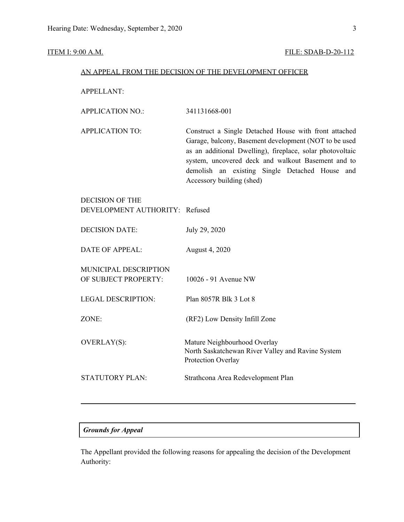#### **ITEM I: 9:00 A.M. FILE: SDAB-D-20-112**

#### AN APPEAL FROM THE DECISION OF THE DEVELOPMENT OFFICER

APPELLANT:

APPLICATION TO: Construct a Single Detached House with front attached Garage, balcony, Basement development (NOT to be used as an additional Dwelling), fireplace, solar photovoltaic system, uncovered deck and walkout Basement and to demolish an existing Single Detached House and Accessory building (shed)

## DECISION OF THE DEVELOPMENT AUTHORITY: Refused

| <b>DECISION DATE:</b>                         | July 29, 2020                                                                                           |
|-----------------------------------------------|---------------------------------------------------------------------------------------------------------|
| DATE OF APPEAL:                               | August 4, 2020                                                                                          |
| MUNICIPAL DESCRIPTION<br>OF SUBJECT PROPERTY: | 10026 - 91 Avenue NW                                                                                    |
| LEGAL DESCRIPTION:                            | Plan 8057R Blk 3 Lot 8                                                                                  |
| ZONE:                                         | (RF2) Low Density Infill Zone                                                                           |
| <b>OVERLAY(S):</b>                            | Mature Neighbourhood Overlay<br>North Saskatchewan River Valley and Ravine System<br>Protection Overlay |
| STATUTORY PLAN:                               | Strathcona Area Redevelopment Plan                                                                      |

#### *Grounds for Appeal*

The Appellant provided the following reasons for appealing the decision of the Development Authority: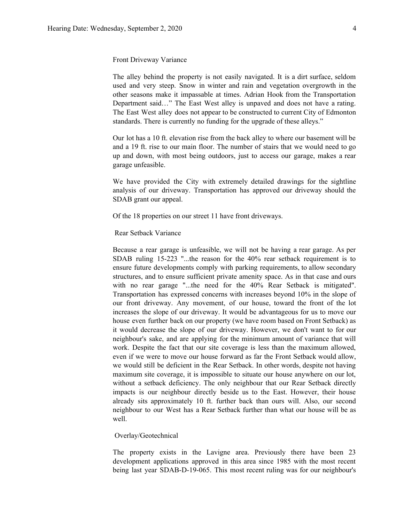#### Front Driveway Variance

The alley behind the property is not easily navigated. It is a dirt surface, seldom used and very steep. Snow in winter and rain and vegetation overgrowth in the other seasons make it impassable at times. Adrian Hook from the Transportation Department said…" The East West alley is unpaved and does not have a rating. The East West alley does not appear to be constructed to current City of Edmonton standards. There is currently no funding for the upgrade of these alleys."

Our lot has a 10 ft. elevation rise from the back alley to where our basement will be and a 19 ft. rise to our main floor. The number of stairs that we would need to go up and down, with most being outdoors, just to access our garage, makes a rear garage unfeasible.

We have provided the City with extremely detailed drawings for the sightline analysis of our driveway. Transportation has approved our driveway should the SDAB grant our appeal.

Of the 18 properties on our street 11 have front driveways.

#### Rear Setback Variance

Because a rear garage is unfeasible, we will not be having a rear garage. As per SDAB ruling 15-223 "...the reason for the 40% rear setback requirement is to ensure future developments comply with parking requirements, to allow secondary structures, and to ensure sufficient private amenity space. As in that case and ours with no rear garage "...the need for the 40% Rear Setback is mitigated". Transportation has expressed concerns with increases beyond 10% in the slope of our front driveway. Any movement, of our house, toward the front of the lot increases the slope of our driveway. It would be advantageous for us to move our house even further back on our property (we have room based on Front Setback) as it would decrease the slope of our driveway. However, we don't want to for our neighbour's sake, and are applying for the minimum amount of variance that will work. Despite the fact that our site coverage is less than the maximum allowed, even if we were to move our house forward as far the Front Setback would allow, we would still be deficient in the Rear Setback. In other words, despite not having maximum site coverage, it is impossible to situate our house anywhere on our lot, without a setback deficiency. The only neighbour that our Rear Setback directly impacts is our neighbour directly beside us to the East. However, their house already sits approximately 10 ft. further back than ours will. Also, our second neighbour to our West has a Rear Setback further than what our house will be as well.

#### Overlay/Geotechnical

The property exists in the Lavigne area. Previously there have been 23 development applications approved in this area since 1985 with the most recent being last year SDAB-D-19-065. This most recent ruling was for our neighbour's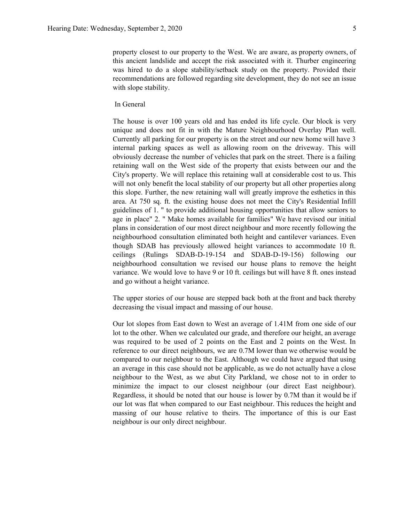property closest to our property to the West. We are aware, as property owners, of this ancient landslide and accept the risk associated with it. Thurber engineering was hired to do a slope stability/setback study on the property. Provided their recommendations are followed regarding site development, they do not see an issue with slope stability.

#### In General

The house is over 100 years old and has ended its life cycle. Our block is very unique and does not fit in with the Mature Neighbourhood Overlay Plan well. Currently all parking for our property is on the street and our new home will have 3 internal parking spaces as well as allowing room on the driveway. This will obviously decrease the number of vehicles that park on the street. There is a failing retaining wall on the West side of the property that exists between our and the City's property. We will replace this retaining wall at considerable cost to us. This will not only benefit the local stability of our property but all other properties along this slope. Further, the new retaining wall will greatly improve the esthetics in this area. At 750 sq. ft. the existing house does not meet the City's Residential Infill guidelines of 1. " to provide additional housing opportunities that allow seniors to age in place" 2. " Make homes available for families" We have revised our initial plans in consideration of our most direct neighbour and more recently following the neighbourhood consultation eliminated both height and cantilever variances. Even though SDAB has previously allowed height variances to accommodate 10 ft. ceilings (Rulings SDAB-D-19-154 and SDAB-D-19-156) following our neighbourhood consultation we revised our house plans to remove the height variance. We would love to have 9 or 10 ft. ceilings but will have 8 ft. ones instead and go without a height variance.

The upper stories of our house are stepped back both at the front and back thereby decreasing the visual impact and massing of our house.

Our lot slopes from East down to West an average of 1.41M from one side of our lot to the other. When we calculated our grade, and therefore our height, an average was required to be used of 2 points on the East and 2 points on the West. In reference to our direct neighbours, we are 0.7M lower than we otherwise would be compared to our neighbour to the East. Although we could have argued that using an average in this case should not be applicable, as we do not actually have a close neighbour to the West, as we abut City Parkland, we chose not to in order to minimize the impact to our closest neighbour (our direct East neighbour). Regardless, it should be noted that our house is lower by 0.7M than it would be if our lot was flat when compared to our East neighbour. This reduces the height and massing of our house relative to theirs. The importance of this is our East neighbour is our only direct neighbour.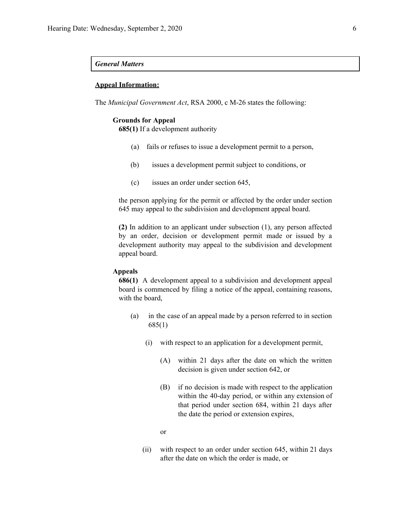#### *General Matters*

#### **Appeal Information:**

The *Municipal Government Act*, RSA 2000, c M-26 states the following:

#### **Grounds for Appeal**

**685(1)** If a development authority

- (a) fails or refuses to issue a development permit to a person,
- (b) issues a development permit subject to conditions, or
- (c) issues an order under section 645,

the person applying for the permit or affected by the order under section 645 may appeal to the subdivision and development appeal board.

**(2)** In addition to an applicant under subsection (1), any person affected by an order, decision or development permit made or issued by a development authority may appeal to the subdivision and development appeal board.

#### **Appeals**

**686(1)** A development appeal to a subdivision and development appeal board is commenced by filing a notice of the appeal, containing reasons, with the board,

- (a) in the case of an appeal made by a person referred to in section 685(1)
	- (i) with respect to an application for a development permit,
		- (A) within 21 days after the date on which the written decision is given under section 642, or
		- (B) if no decision is made with respect to the application within the 40-day period, or within any extension of that period under section 684, within 21 days after the date the period or extension expires,
		- or
	- (ii) with respect to an order under section 645, within 21 days after the date on which the order is made, or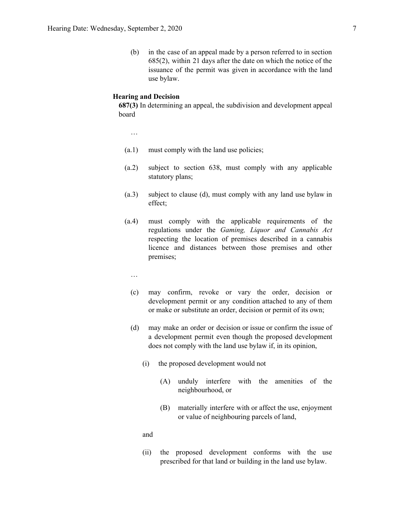(b) in the case of an appeal made by a person referred to in section 685(2), within 21 days after the date on which the notice of the issuance of the permit was given in accordance with the land use bylaw.

#### **Hearing and Decision**

**687(3)** In determining an appeal, the subdivision and development appeal board

…

- (a.1) must comply with the land use policies;
- (a.2) subject to section 638, must comply with any applicable statutory plans;
- (a.3) subject to clause (d), must comply with any land use bylaw in effect;
- (a.4) must comply with the applicable requirements of the regulations under the *Gaming, Liquor and Cannabis Act* respecting the location of premises described in a cannabis licence and distances between those premises and other premises;
	- …
	- (c) may confirm, revoke or vary the order, decision or development permit or any condition attached to any of them or make or substitute an order, decision or permit of its own;
	- (d) may make an order or decision or issue or confirm the issue of a development permit even though the proposed development does not comply with the land use bylaw if, in its opinion,
		- (i) the proposed development would not
			- (A) unduly interfere with the amenities of the neighbourhood, or
			- (B) materially interfere with or affect the use, enjoyment or value of neighbouring parcels of land,

and

(ii) the proposed development conforms with the use prescribed for that land or building in the land use bylaw.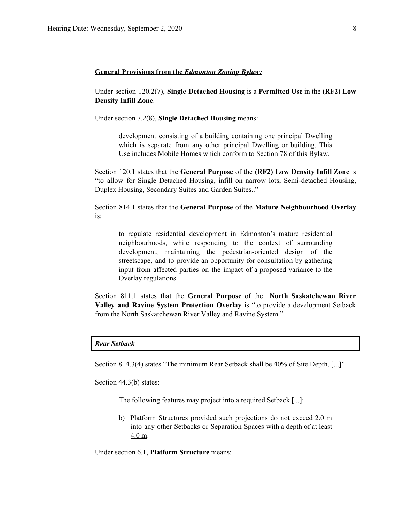#### **General Provisions from the** *Edmonton Zoning Bylaw:*

Under section 120.2(7), **Single Detached Housing** is a **Permitted Use** in the **(RF2) Low Density Infill Zone**.

Under section 7.2(8), **Single Detached Housing** means:

development consisting of a building containing one principal Dwelling which is separate from any other principal Dwelling or building. This Use includes Mobile Homes which conform to [Section](https://webdocs.edmonton.ca/InfraPlan/zoningbylaw/ZoningBylaw/Part1/Special_Land/78__Mobile_Homes.htm) 78 of this Bylaw.

Section 120.1 states that the **General Purpose** of the **(RF2) Low Density Infill Zone** is "to allow for Single Detached Housing, infill on narrow lots, Semi-detached Housing, Duplex Housing, Secondary Suites and Garden Suites.."

Section 814.1 states that the **General Purpose** of the **Mature Neighbourhood Overlay** is:

to regulate residential development in Edmonton's mature residential neighbourhoods, while responding to the context of surrounding development, maintaining the pedestrian-oriented design of the streetscape, and to provide an opportunity for consultation by gathering input from affected parties on the impact of a proposed variance to the Overlay regulations.

Section 811.1 states that the **General Purpose** of the **North Saskatchewan River Valley and Ravine System Protection Overlay** is "to provide a development Setback from the North Saskatchewan River Valley and Ravine System."

#### *Rear Setback*

Section 814.3(4) states "The minimum Rear Setback shall be 40% of Site Depth, [...]"

Section 44.3(b) states:

The following features may project into a required Setback [...]:

b) Platform Structures provided such projections do not exceed 2.0 m into any other Setbacks or Separation Spaces with a depth of at least 4.0 m.

Under section 6.1, **Platform Structure** means: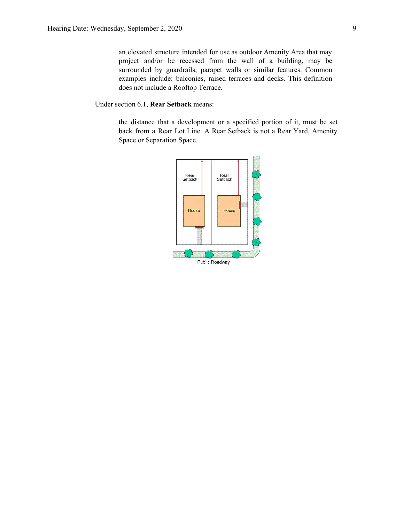an elevated structure intended for use as outdoor Amenity Area that may project and/or be recessed from the wall of a building, may be surrounded by guardrails, parapet walls or similar features. Common examples include: balconies, raised terraces and decks. This definition does not include a Rooftop Terrace.

Under section 6.1, **Rear Setback** means:

the distance that a development or a specified portion of it, must be set back from a Rear Lot Line. A Rear Setback is not a Rear Yard, Amenity Space or Separation Space.

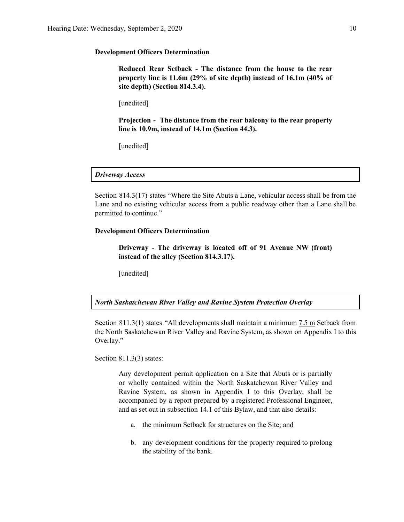#### **Development Officers Determination**

**Reduced Rear Setback - The distance from the house to the rear property line is 11.6m (29% of site depth) instead of 16.1m (40% of site depth) (Section 814.3.4).**

[unedited]

**Projection - The distance from the rear balcony to the rear property line is 10.9m, instead of 14.1m (Section 44.3).**

[unedited]

*Driveway Access*

Section 814.3(17) states "Where the Site Abuts a Lane, vehicular access shall be from the Lane and no existing vehicular access from a public roadway other than a Lane shall be permitted to continue."

#### **Development Officers Determination**

**Driveway - The driveway is located off of 91 Avenue NW (front) instead of the alley (Section 814.3.17).**

[unedited]

*North Saskatchewan River Valley and Ravine System Protection Overlay*

Section 811.3(1) states "All developments shall maintain a minimum 7.5 m Setback from the North Saskatchewan River Valley and Ravine System, as shown on Appendix I to this Overlay."

Section 811.3(3) states:

Any development permit application on a Site that Abuts or is partially or wholly contained within the North Saskatchewan River Valley and Ravine System, as shown in Appendix I to this Overlay, shall be accompanied by a report prepared by a registered Professional Engineer, and as set out in subsection 14.1 of this Bylaw, and that also details:

- a. the minimum Setback for structures on the Site; and
- b. any development conditions for the property required to prolong the stability of the bank.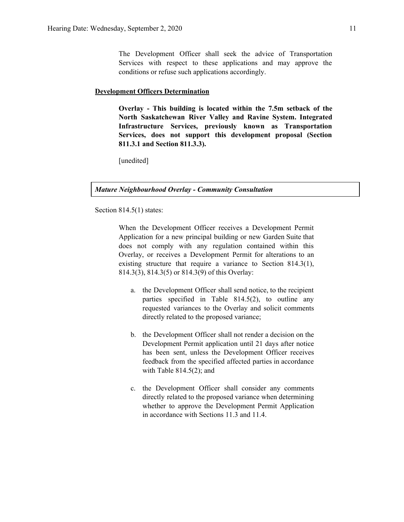The Development Officer shall seek the advice of Transportation Services with respect to these applications and may approve the conditions or refuse such applications accordingly.

#### **Development Officers Determination**

**Overlay - This building is located within the 7.5m setback of the North Saskatchewan River Valley and Ravine System. Integrated Infrastructure Services, previously known as Transportation Services, does not support this development proposal (Section 811.3.1 and Section 811.3.3).**

[unedited]

*Mature Neighbourhood Overlay - Community Consultation*

Section 814.5(1) states:

When the Development Officer receives a Development Permit Application for a new principal building or new Garden Suite that does not comply with any regulation contained within this Overlay, or receives a Development Permit for alterations to an existing structure that require a variance to Section 814.3(1), 814.3(3), 814.3(5) or 814.3(9) of this Overlay:

- a. the Development Officer shall send notice, to the recipient parties specified in Table 814.5(2), to outline any requested variances to the Overlay and solicit comments directly related to the proposed variance;
- b. the Development Officer shall not render a decision on the Development Permit application until 21 days after notice has been sent, unless the Development Officer receives feedback from the specified affected parties in accordance with Table 814.5(2); and
- c. the Development Officer shall consider any comments directly related to the proposed variance when determining whether to approve the Development Permit Application in accordance with Sections 11.3 and 11.4.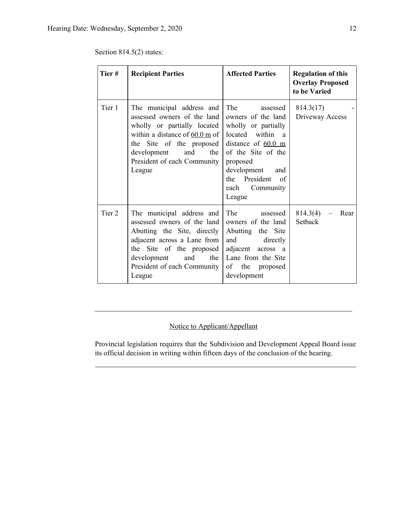Section 814.5(2) states:

| Tier#  | <b>Recipient Parties</b>                                                                                                                                                                                                              | <b>Affected Parties</b>                                                                                                                                                                                                  | <b>Regulation of this</b><br><b>Overlay Proposed</b><br>to be Varied |
|--------|---------------------------------------------------------------------------------------------------------------------------------------------------------------------------------------------------------------------------------------|--------------------------------------------------------------------------------------------------------------------------------------------------------------------------------------------------------------------------|----------------------------------------------------------------------|
| Tier 1 | The municipal address and<br>assessed owners of the land<br>wholly or partially located<br>within a distance of $60.0 \text{ m}$ of<br>the Site of the proposed<br>and<br>the<br>development<br>President of each Community<br>League | The<br>assessed<br>owners of the land<br>wholly or partially<br>located within a<br>distance of $60.0 \text{ m}$<br>of the Site of the<br>proposed<br>development and<br>the President of<br>Community<br>each<br>League | 814.3(17)<br>Driveway Access                                         |
| Tier 2 | The municipal address and<br>assessed owners of the land<br>Abutting the Site, directly<br>adjacent across a Lane from<br>the Site of the proposed<br>and<br>development<br>the<br>President of each Community<br>League              | The<br>assessed<br>owners of the land<br>Abutting the Site<br>and directly<br>adjacent across a<br>Lane from the Site<br>of the proposed<br>development                                                                  | 814.3(4)<br>Rear<br>Setback                                          |

## Notice to Applicant/Appellant

Provincial legislation requires that the Subdivision and Development Appeal Board issue its official decision in writing within fifteen days of the conclusion of the hearing.

 $\mathcal{L}_\text{max}$  , and the contribution of the contribution of the contribution of the contribution of the contribution of the contribution of the contribution of the contribution of the contribution of the contribution of t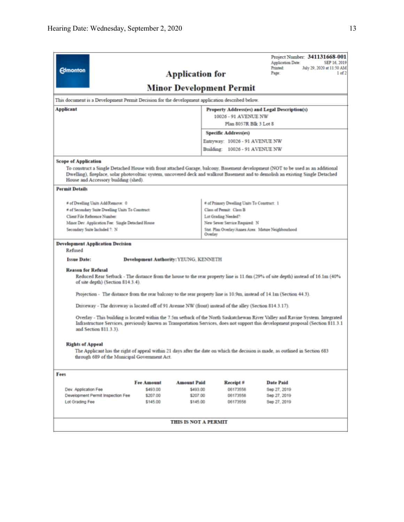| <b>Edmonton</b>                                                                                                                                                                                                                                                                               |                                              | <b>Application for</b>      |                                                      | Project Number: 341131668-001<br><b>Application Date:</b><br>SEP 16, 2019<br>Printed:<br>July 29, 2020 at 11:50 AM<br>Page:<br>1 of 2                                                                                                                               |  |  |  |  |  |  |
|-----------------------------------------------------------------------------------------------------------------------------------------------------------------------------------------------------------------------------------------------------------------------------------------------|----------------------------------------------|-----------------------------|------------------------------------------------------|---------------------------------------------------------------------------------------------------------------------------------------------------------------------------------------------------------------------------------------------------------------------|--|--|--|--|--|--|
|                                                                                                                                                                                                                                                                                               | <b>Minor Development Permit</b>              |                             |                                                      |                                                                                                                                                                                                                                                                     |  |  |  |  |  |  |
| This document is a Development Permit Decision for the development application described below.                                                                                                                                                                                               |                                              |                             |                                                      |                                                                                                                                                                                                                                                                     |  |  |  |  |  |  |
| <b>Applicant</b>                                                                                                                                                                                                                                                                              |                                              |                             |                                                      | Property Address(es) and Legal Description(s)                                                                                                                                                                                                                       |  |  |  |  |  |  |
|                                                                                                                                                                                                                                                                                               |                                              |                             | 10026 - 91 AVENUE NW<br>Plan 8057R Blk 3 Lot 8       |                                                                                                                                                                                                                                                                     |  |  |  |  |  |  |
|                                                                                                                                                                                                                                                                                               |                                              |                             | Specific Address(es)                                 |                                                                                                                                                                                                                                                                     |  |  |  |  |  |  |
|                                                                                                                                                                                                                                                                                               |                                              |                             | Entryway: 10026 - 91 AVENUE NW                       |                                                                                                                                                                                                                                                                     |  |  |  |  |  |  |
|                                                                                                                                                                                                                                                                                               |                                              |                             | Building: 10026 - 91 AVENUE NW                       |                                                                                                                                                                                                                                                                     |  |  |  |  |  |  |
| <b>Scope of Application</b>                                                                                                                                                                                                                                                                   |                                              |                             |                                                      |                                                                                                                                                                                                                                                                     |  |  |  |  |  |  |
| House and Accessory building (shed).                                                                                                                                                                                                                                                          |                                              |                             |                                                      | To construct a Single Detached House with front attached Garage, balcony, Basement development (NOT to be used as an additional<br>Dwelling), fireplace, solar photovoltaic system, uncovered deck and walkout Basement and to demolish an existing Single Detached |  |  |  |  |  |  |
| <b>Permit Details</b>                                                                                                                                                                                                                                                                         |                                              |                             |                                                      |                                                                                                                                                                                                                                                                     |  |  |  |  |  |  |
| # of Dwelling Units Add/Remove: 0                                                                                                                                                                                                                                                             |                                              |                             | # of Primary Dwelling Units To Construct: 1          |                                                                                                                                                                                                                                                                     |  |  |  |  |  |  |
| # of Secondary Suite Dwelling Units To Construct:                                                                                                                                                                                                                                             |                                              |                             | Class of Permit: Class B                             |                                                                                                                                                                                                                                                                     |  |  |  |  |  |  |
| Client File Reference Number:<br>Minor Dev. Application Fee: Single Detached House                                                                                                                                                                                                            |                                              |                             | Lot Grading Needed?<br>New Sewer Service Required: N |                                                                                                                                                                                                                                                                     |  |  |  |  |  |  |
| Secondary Suite Included ?: N                                                                                                                                                                                                                                                                 |                                              |                             |                                                      | Stat. Plan Overlay/Annex Area: Mature Neighbourhood                                                                                                                                                                                                                 |  |  |  |  |  |  |
|                                                                                                                                                                                                                                                                                               |                                              |                             | Overlay                                              |                                                                                                                                                                                                                                                                     |  |  |  |  |  |  |
| <b>Development Application Decision</b><br>Refused                                                                                                                                                                                                                                            |                                              |                             |                                                      |                                                                                                                                                                                                                                                                     |  |  |  |  |  |  |
| <b>Issue Date:</b>                                                                                                                                                                                                                                                                            | <b>Development Authority: YEUNG, KENNETH</b> |                             |                                                      |                                                                                                                                                                                                                                                                     |  |  |  |  |  |  |
| <b>Reason for Refusal</b><br>of site depth) (Section 814.3.4).                                                                                                                                                                                                                                |                                              |                             |                                                      | Reduced Rear Setback - The distance from the house to the rear property line is 11.6m (29% of site depth) instead of 16.1m (40%                                                                                                                                     |  |  |  |  |  |  |
|                                                                                                                                                                                                                                                                                               |                                              |                             |                                                      | Projection - The distance from the rear balcony to the rear property line is 10.9m, instead of 14.1m (Section 44.3).                                                                                                                                                |  |  |  |  |  |  |
| Driveway - The driveway is located off of 91 Avenue NW (front) instead of the alley (Section 814.3.17).                                                                                                                                                                                       |                                              |                             |                                                      |                                                                                                                                                                                                                                                                     |  |  |  |  |  |  |
| Overlay - This building is located within the 7.5m setback of the North Saskatchewan River Valley and Ravine System. Integrated<br>Infrastructure Services, previously known as Transportation Services, does not support this development proposal (Section 811.3.1<br>and Section 811.3.3). |                                              |                             |                                                      |                                                                                                                                                                                                                                                                     |  |  |  |  |  |  |
| <b>Rights of Appeal</b><br>through 689 of the Municipal Government Act.                                                                                                                                                                                                                       |                                              |                             |                                                      | The Applicant has the right of appeal within 21 days after the date on which the decision is made, as outlined in Section 683                                                                                                                                       |  |  |  |  |  |  |
| Fees                                                                                                                                                                                                                                                                                          |                                              |                             |                                                      |                                                                                                                                                                                                                                                                     |  |  |  |  |  |  |
|                                                                                                                                                                                                                                                                                               | <b>Fee Amount</b>                            | <b>Amount Paid</b>          | Receipt#                                             | <b>Date Paid</b>                                                                                                                                                                                                                                                    |  |  |  |  |  |  |
| Dev. Application Fee                                                                                                                                                                                                                                                                          | \$493.00                                     | \$493.00                    | 06173558                                             | Sep 27, 2019                                                                                                                                                                                                                                                        |  |  |  |  |  |  |
| Development Permit Inspection Fee<br>Lot Grading Fee                                                                                                                                                                                                                                          | \$207.00<br>\$145.00                         | \$207.00<br>\$145.00        | 06173558<br>06173558                                 | Sep 27, 2019<br>Sep 27, 2019                                                                                                                                                                                                                                        |  |  |  |  |  |  |
|                                                                                                                                                                                                                                                                                               |                                              | <b>THIS IS NOT A PERMIT</b> |                                                      |                                                                                                                                                                                                                                                                     |  |  |  |  |  |  |
|                                                                                                                                                                                                                                                                                               |                                              |                             |                                                      |                                                                                                                                                                                                                                                                     |  |  |  |  |  |  |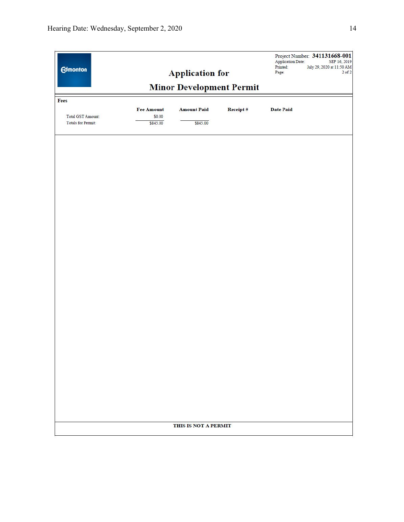| <b>Edmonton</b>                         |                    | <b>Application for</b>          |          | <b>Application Date:</b><br>Printed:<br>Page: | Project Number: 341131668-001<br>SEP 16, 2019<br>July 29, 2020 at 11:50 AM<br>$2$ of $2$ |
|-----------------------------------------|--------------------|---------------------------------|----------|-----------------------------------------------|------------------------------------------------------------------------------------------|
|                                         |                    | <b>Minor Development Permit</b> |          |                                               |                                                                                          |
| Fees                                    |                    |                                 |          |                                               |                                                                                          |
|                                         | Fee Amount         | <b>Amount Paid</b>              | Receipt# | <b>Date Paid</b>                              |                                                                                          |
| Total GST Amount:<br>Totals for Permit: | \$0.00<br>\$845.00 | \$845.00                        |          |                                               |                                                                                          |
|                                         |                    |                                 |          |                                               |                                                                                          |
|                                         |                    | THIS IS NOT A PERMIT            |          |                                               |                                                                                          |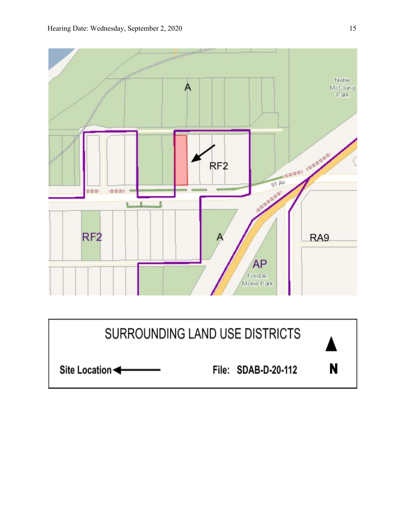

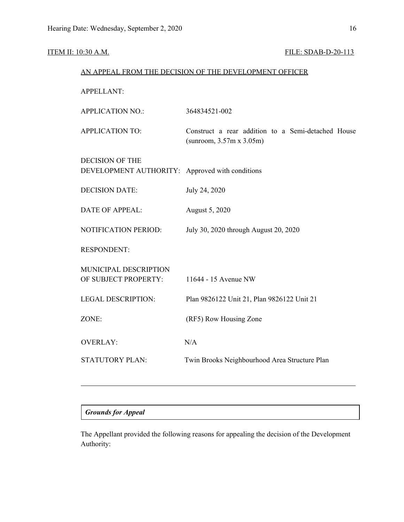## ITEM II: 10:30 A.M. FILE: SDAB-D-20-113

| AN APPEAL FROM THE DECISION OF THE DEVELOPMENT OFFICER                    |                                                                                        |  |  |  |
|---------------------------------------------------------------------------|----------------------------------------------------------------------------------------|--|--|--|
| <b>APPELLANT:</b>                                                         |                                                                                        |  |  |  |
| <b>APPLICATION NO.:</b>                                                   | 364834521-002                                                                          |  |  |  |
| <b>APPLICATION TO:</b>                                                    | Construct a rear addition to a Semi-detached House<br>(sunroom, $3.57m \times 3.05m$ ) |  |  |  |
| <b>DECISION OF THE</b><br>DEVELOPMENT AUTHORITY: Approved with conditions |                                                                                        |  |  |  |
| <b>DECISION DATE:</b>                                                     | July 24, 2020                                                                          |  |  |  |
| <b>DATE OF APPEAL:</b>                                                    | August 5, 2020                                                                         |  |  |  |
| NOTIFICATION PERIOD:                                                      | July 30, 2020 through August 20, 2020                                                  |  |  |  |
| <b>RESPONDENT:</b>                                                        |                                                                                        |  |  |  |
| MUNICIPAL DESCRIPTION<br>OF SUBJECT PROPERTY:                             | 11644 - 15 Avenue NW                                                                   |  |  |  |
| <b>LEGAL DESCRIPTION:</b>                                                 | Plan 9826122 Unit 21, Plan 9826122 Unit 21                                             |  |  |  |
| ZONE:                                                                     | (RF5) Row Housing Zone                                                                 |  |  |  |
| <b>OVERLAY:</b>                                                           | N/A                                                                                    |  |  |  |
| <b>STATUTORY PLAN:</b>                                                    | Twin Brooks Neighbourhood Area Structure Plan                                          |  |  |  |
|                                                                           |                                                                                        |  |  |  |

# *Grounds for Appeal*

The Appellant provided the following reasons for appealing the decision of the Development Authority: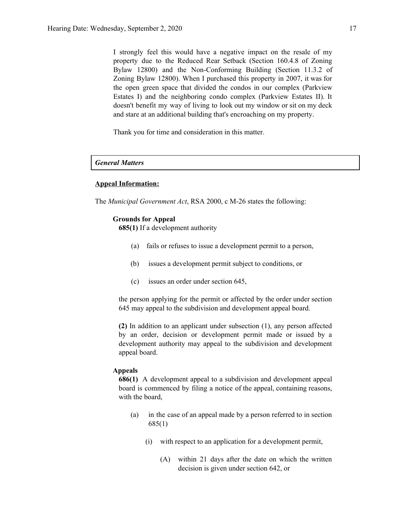I strongly feel this would have a negative impact on the resale of my property due to the Reduced Rear Setback (Section 160.4.8 of Zoning Bylaw 12800) and the Non-Conforming Building (Section 11.3.2 of Zoning Bylaw 12800). When I purchased this property in 2007, it was for the open green space that divided the condos in our complex (Parkview Estates I) and the neighboring condo complex (Parkview Estates II). It doesn't benefit my way of living to look out my window or sit on my deck and stare at an additional building that's encroaching on my property.

Thank you for time and consideration in this matter.

### *General Matters*

#### **Appeal Information:**

The *Municipal Government Act*, RSA 2000, c M-26 states the following:

#### **Grounds for Appeal**

**685(1)** If a development authority

- (a) fails or refuses to issue a development permit to a person,
- (b) issues a development permit subject to conditions, or
- (c) issues an order under section 645,

the person applying for the permit or affected by the order under section 645 may appeal to the subdivision and development appeal board.

**(2)** In addition to an applicant under subsection (1), any person affected by an order, decision or development permit made or issued by a development authority may appeal to the subdivision and development appeal board.

#### **Appeals**

**686(1)** A development appeal to a subdivision and development appeal board is commenced by filing a notice of the appeal, containing reasons, with the board,

- (a) in the case of an appeal made by a person referred to in section 685(1)
	- (i) with respect to an application for a development permit,
		- (A) within 21 days after the date on which the written decision is given under section 642, or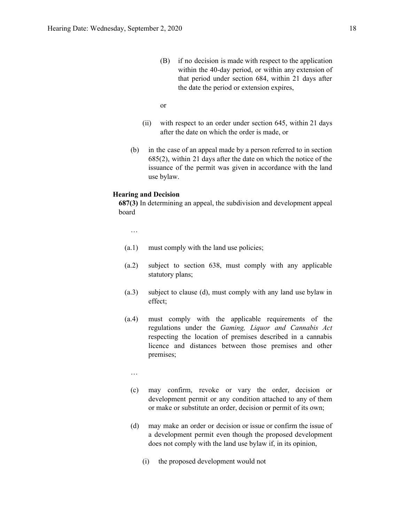- (B) if no decision is made with respect to the application within the 40-day period, or within any extension of that period under section 684, within 21 days after the date the period or extension expires,
- or
- (ii) with respect to an order under section 645, within 21 days after the date on which the order is made, or
- (b) in the case of an appeal made by a person referred to in section 685(2), within 21 days after the date on which the notice of the issuance of the permit was given in accordance with the land use bylaw.

#### **Hearing and Decision**

**687(3)** In determining an appeal, the subdivision and development appeal board

…

- (a.1) must comply with the land use policies;
- (a.2) subject to section 638, must comply with any applicable statutory plans;
- (a.3) subject to clause (d), must comply with any land use bylaw in effect;
- (a.4) must comply with the applicable requirements of the regulations under the *Gaming, Liquor and Cannabis Act* respecting the location of premises described in a cannabis licence and distances between those premises and other premises;
	- …
	- (c) may confirm, revoke or vary the order, decision or development permit or any condition attached to any of them or make or substitute an order, decision or permit of its own;
	- (d) may make an order or decision or issue or confirm the issue of a development permit even though the proposed development does not comply with the land use bylaw if, in its opinion,
		- (i) the proposed development would not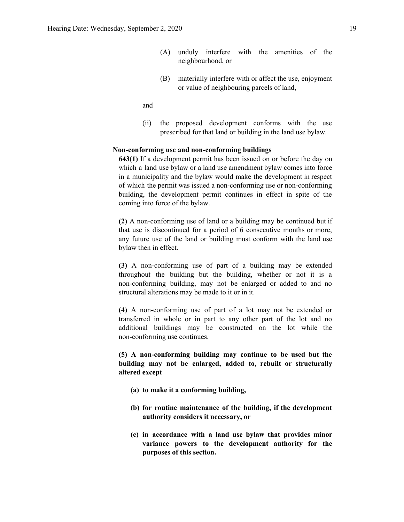(B) materially interfere with or affect the use, enjoyment or value of neighbouring parcels of land,

and

(ii) the proposed development conforms with the use prescribed for that land or building in the land use bylaw.

#### **Non-conforming use and non-conforming buildings**

**643(1)** If a development permit has been issued on or before the day on which a land use bylaw or a land use amendment bylaw comes into force in a municipality and the bylaw would make the development in respect of which the permit was issued a non-conforming use or non-conforming building, the development permit continues in effect in spite of the coming into force of the bylaw.

**(2)** A non-conforming use of land or a building may be continued but if that use is discontinued for a period of 6 consecutive months or more, any future use of the land or building must conform with the land use bylaw then in effect.

**(3)** A non-conforming use of part of a building may be extended throughout the building but the building, whether or not it is a non-conforming building, may not be enlarged or added to and no structural alterations may be made to it or in it.

**(4)** A non-conforming use of part of a lot may not be extended or transferred in whole or in part to any other part of the lot and no additional buildings may be constructed on the lot while the non-conforming use continues.

**(5) A non-conforming building may continue to be used but the building may not be enlarged, added to, rebuilt or structurally altered except**

- **(a) to make it a conforming building,**
- **(b) for routine maintenance of the building, if the development authority considers it necessary, or**
- **(c) in accordance with a land use bylaw that provides minor variance powers to the development authority for the purposes of this section.**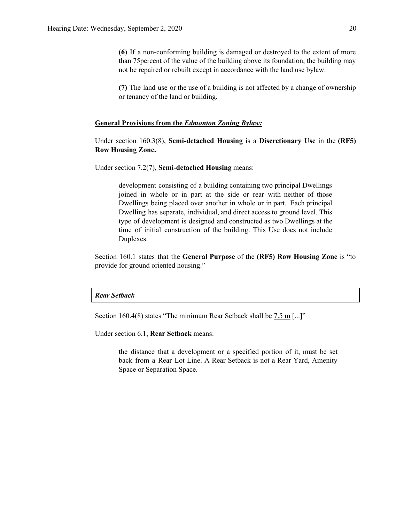**(6)** If a non-conforming building is damaged or destroyed to the extent of more than 75percent of the value of the building above its foundation, the building may not be repaired or rebuilt except in accordance with the land use bylaw.

**(7)** The land use or the use of a building is not affected by a change of ownership or tenancy of the land or building.

#### **General Provisions from the** *Edmonton Zoning Bylaw:*

Under section 160.3(8), **Semi-detached Housing** is a **Discretionary Use** in the **(RF5) Row Housing Zone.**

Under section 7.2(7), **Semi-detached Housing** means:

development consisting of a building containing two principal Dwellings joined in whole or in part at the side or rear with neither of those Dwellings being placed over another in whole or in part. Each principal Dwelling has separate, individual, and direct access to ground level. This type of development is designed and constructed as two Dwellings at the time of initial construction of the building. This Use does not include Duplexes.

Section 160.1 states that the **General Purpose** of the **(RF5) Row Housing Zone** is "to provide for ground oriented housing."

#### *Rear Setback*

Section 160.4(8) states "The minimum Rear Setback shall be [7.5](https://webdocs.edmonton.ca/zoningbylaw/ZoningBylaw/Measurements/im7_5.htm) m [...]"

Under section 6.1, **Rear Setback** means:

the distance that a development or a specified portion of it, must be set back from a Rear Lot Line. A Rear Setback is not a Rear Yard, Amenity Space or Separation Space.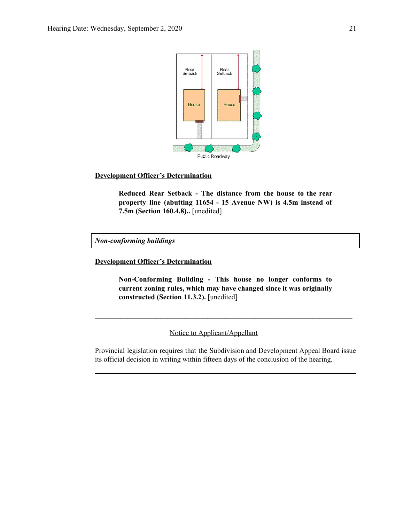

### **Development Officer's Determination**

**Reduced Rear Setback - The distance from the house to the rear property line (abutting 11654 - 15 Avenue NW) is 4.5m instead of 7.5m (Section 160.4.8)..** [unedited]

*Non-conforming buildings*

**Development Officer's Determination**

**Non-Conforming Building - This house no longer conforms to current zoning rules, which may have changed since it was originally constructed (Section 11.3.2).** [unedited]

 $\mathcal{L}_\text{max} = \mathcal{L}_\text{max} = \mathcal{L}_\text{max} = \mathcal{L}_\text{max} = \mathcal{L}_\text{max} = \mathcal{L}_\text{max} = \mathcal{L}_\text{max} = \mathcal{L}_\text{max} = \mathcal{L}_\text{max} = \mathcal{L}_\text{max} = \mathcal{L}_\text{max} = \mathcal{L}_\text{max} = \mathcal{L}_\text{max} = \mathcal{L}_\text{max} = \mathcal{L}_\text{max} = \mathcal{L}_\text{max} = \mathcal{L}_\text{max} = \mathcal{L}_\text{max} = \mathcal{$ 

Notice to Applicant/Appellant

Provincial legislation requires that the Subdivision and Development Appeal Board issue its official decision in writing within fifteen days of the conclusion of the hearing.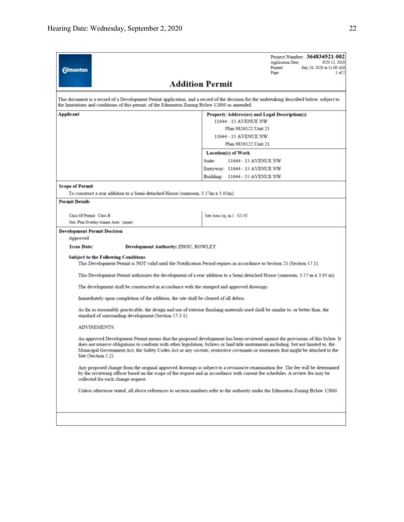| <b>Edmonton</b>                                                                                                                                                                                                                                                                      |                                                                                                                                                                                                                                                                                                                                                                                                                               |        |                                              | <b>Printed:</b><br>Page:                                                                      | <b>Application Date:</b> | Project Number: 364834521-002<br>JUN 12, 2020<br>July 24, 2020 at 11:00 AM<br>1 <sub>of</sub> 2 |
|--------------------------------------------------------------------------------------------------------------------------------------------------------------------------------------------------------------------------------------------------------------------------------------|-------------------------------------------------------------------------------------------------------------------------------------------------------------------------------------------------------------------------------------------------------------------------------------------------------------------------------------------------------------------------------------------------------------------------------|--------|----------------------------------------------|-----------------------------------------------------------------------------------------------|--------------------------|-------------------------------------------------------------------------------------------------|
|                                                                                                                                                                                                                                                                                      | <b>Addition Permit</b>                                                                                                                                                                                                                                                                                                                                                                                                        |        |                                              |                                                                                               |                          |                                                                                                 |
|                                                                                                                                                                                                                                                                                      | This document is a record of a Development Permit application, and a record of the decision for the undertaking described below, subject to<br>the limitations and conditions of this permit, of the Edmonton Zoning Bylaw 12800 as amended.                                                                                                                                                                                  |        |                                              |                                                                                               |                          |                                                                                                 |
| <b>Applicant</b>                                                                                                                                                                                                                                                                     |                                                                                                                                                                                                                                                                                                                                                                                                                               |        | 11644 - 15 AVENUE NW<br>11644 - 15 AVENUE NW | Property Address(es) and Legal Description(s)<br>Plan 9826122 Unit 21<br>Plan 9826122 Unit 21 |                          |                                                                                                 |
|                                                                                                                                                                                                                                                                                      |                                                                                                                                                                                                                                                                                                                                                                                                                               | Suite: | Location(s) of Work                          | 11644 - 15 AVENUE NW<br>Entryway: 11644 - 15 AVENUE NW<br>Building: 11644 - 15 AVENUE NW      |                          |                                                                                                 |
| <b>Scope of Permit</b>                                                                                                                                                                                                                                                               | To construct a rear addition to a Semi-detached House (sunroom, 3.57m x 3.05m).                                                                                                                                                                                                                                                                                                                                               |        |                                              |                                                                                               |                          |                                                                                                 |
| <b>Permit Details</b>                                                                                                                                                                                                                                                                |                                                                                                                                                                                                                                                                                                                                                                                                                               |        |                                              |                                                                                               |                          |                                                                                                 |
| <b>Class Of Permit: Class B</b><br>Stat. Plan Overlay/Annex Area: (none)                                                                                                                                                                                                             |                                                                                                                                                                                                                                                                                                                                                                                                                               |        | Site Area (sq. m.): 321.92                   |                                                                                               |                          |                                                                                                 |
| <b>Development Permit Decision</b><br>Approved                                                                                                                                                                                                                                       |                                                                                                                                                                                                                                                                                                                                                                                                                               |        |                                              |                                                                                               |                          |                                                                                                 |
| <b>Issue Date:</b>                                                                                                                                                                                                                                                                   | <b>Development Authority: ZHOU, ROWLEY</b>                                                                                                                                                                                                                                                                                                                                                                                    |        |                                              |                                                                                               |                          |                                                                                                 |
| <b>Subject to the Following Conditions</b>                                                                                                                                                                                                                                           | This Development Permit is NOT valid until the Notification Period expires in accordance to Section 21 (Section 17.1).                                                                                                                                                                                                                                                                                                        |        |                                              |                                                                                               |                          |                                                                                                 |
|                                                                                                                                                                                                                                                                                      | This Development Permit authorizes the development of a rear addition to a Semi-detached House (sunroom, 3.57 m x 3.05 m).                                                                                                                                                                                                                                                                                                    |        |                                              |                                                                                               |                          |                                                                                                 |
|                                                                                                                                                                                                                                                                                      | The development shall be constructed in accordance with the stamped and approved drawings.                                                                                                                                                                                                                                                                                                                                    |        |                                              |                                                                                               |                          |                                                                                                 |
| Immediately upon completion of the addition, the site shall be cleared of all debris.<br>As far as reasonably practicable, the design and use of exterior finishing materials used shall be similar to, or better than, the<br>standard of surrounding development (Section 57.3.1). |                                                                                                                                                                                                                                                                                                                                                                                                                               |        |                                              |                                                                                               |                          |                                                                                                 |
|                                                                                                                                                                                                                                                                                      |                                                                                                                                                                                                                                                                                                                                                                                                                               |        |                                              |                                                                                               |                          |                                                                                                 |
| <b>ADVISEMENTS:</b>                                                                                                                                                                                                                                                                  |                                                                                                                                                                                                                                                                                                                                                                                                                               |        |                                              |                                                                                               |                          |                                                                                                 |
|                                                                                                                                                                                                                                                                                      | An approved Development Permit means that the proposed development has been reviewed against the provisions of this bylaw. It<br>does not remove obligations to conform with other legislation, bylaws or land title instruments including, but not limited to, the<br>Municipal Government Act, the Safety Codes Act or any caveats, restrictive covenants or easements that might be attached to the<br>Site (Section 5.2). |        |                                              |                                                                                               |                          |                                                                                                 |
|                                                                                                                                                                                                                                                                                      | Any proposed change from the original approved drawings is subject to a revision/re-examination fee. The fee will be determined<br>by the reviewing officer based on the scope of the request and in accordance with current fee schedules. A review fee may be<br>collected for each change request.                                                                                                                         |        |                                              |                                                                                               |                          |                                                                                                 |
|                                                                                                                                                                                                                                                                                      | Unless otherwise stated, all above references to section numbers refer to the authority under the Edmonton Zoning Bylaw 12800.                                                                                                                                                                                                                                                                                                |        |                                              |                                                                                               |                          |                                                                                                 |
|                                                                                                                                                                                                                                                                                      |                                                                                                                                                                                                                                                                                                                                                                                                                               |        |                                              |                                                                                               |                          |                                                                                                 |
|                                                                                                                                                                                                                                                                                      |                                                                                                                                                                                                                                                                                                                                                                                                                               |        |                                              |                                                                                               |                          |                                                                                                 |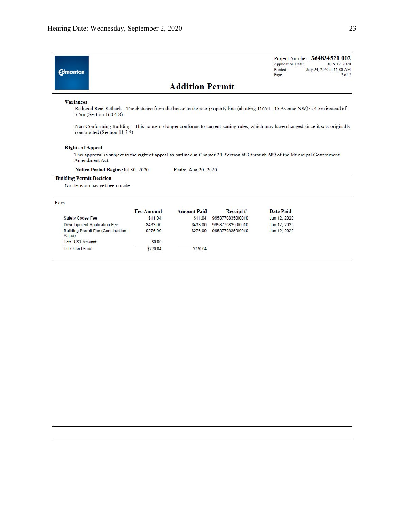| <b>Edmonton</b>                                    |                   |                        |                  | Project Number: 364834521-002<br><b>Application Date:</b><br>JUN 12, 2020<br>Printed:<br>July 24, 2020 at 11:00 AM<br>Page:                                                                                                                                        | $2$ of $2$ |
|----------------------------------------------------|-------------------|------------------------|------------------|--------------------------------------------------------------------------------------------------------------------------------------------------------------------------------------------------------------------------------------------------------------------|------------|
|                                                    |                   | <b>Addition Permit</b> |                  |                                                                                                                                                                                                                                                                    |            |
| <b>Variances</b><br>7.5m (Section 160.4.8).        |                   |                        |                  | Reduced Rear Setback - The distance from the house to the rear property line (abutting 11654 - 15 Avenue NW) is 4.5m instead of<br>Non-Conforming Building - This house no longer conforms to current zoning rules, which may have changed since it was originally |            |
| constructed (Section 11.3.2).                      |                   |                        |                  |                                                                                                                                                                                                                                                                    |            |
| <b>Rights of Appeal</b>                            |                   |                        |                  |                                                                                                                                                                                                                                                                    |            |
| Amendment Act.                                     |                   |                        |                  | This approval is subject to the right of appeal as outlined in Chapter 24, Section 683 through 689 of the Municipal Government                                                                                                                                     |            |
| Notice Period Begins: Jul 30, 2020                 |                   | Ends: Aug 20, 2020     |                  |                                                                                                                                                                                                                                                                    |            |
| <b>Building Permit Decision</b>                    |                   |                        |                  |                                                                                                                                                                                                                                                                    |            |
| No decision has yet been made.                     |                   |                        |                  |                                                                                                                                                                                                                                                                    |            |
| Fees                                               |                   |                        |                  |                                                                                                                                                                                                                                                                    |            |
|                                                    | <b>Fee Amount</b> | <b>Amount Paid</b>     | Receipt#         | <b>Date Paid</b>                                                                                                                                                                                                                                                   |            |
| Safety Codes Fee                                   | \$11.04           | \$11.04                | 9658770835010010 | Jun 12, 2020                                                                                                                                                                                                                                                       |            |
| Development Application Fee                        | \$433.00          | \$433.00               | 9658770835010010 | Jun 12, 2020                                                                                                                                                                                                                                                       |            |
| <b>Building Permit Fee (Construction</b><br>Value) | \$276.00          | \$276.00               | 9658770835010010 | Jun 12, 2020                                                                                                                                                                                                                                                       |            |
| Total GST Amount:                                  | \$0.00            |                        |                  |                                                                                                                                                                                                                                                                    |            |
| <b>Totals for Permit:</b>                          | \$720.04          | \$720.04               |                  |                                                                                                                                                                                                                                                                    |            |
|                                                    |                   |                        |                  |                                                                                                                                                                                                                                                                    |            |
|                                                    |                   |                        |                  |                                                                                                                                                                                                                                                                    |            |